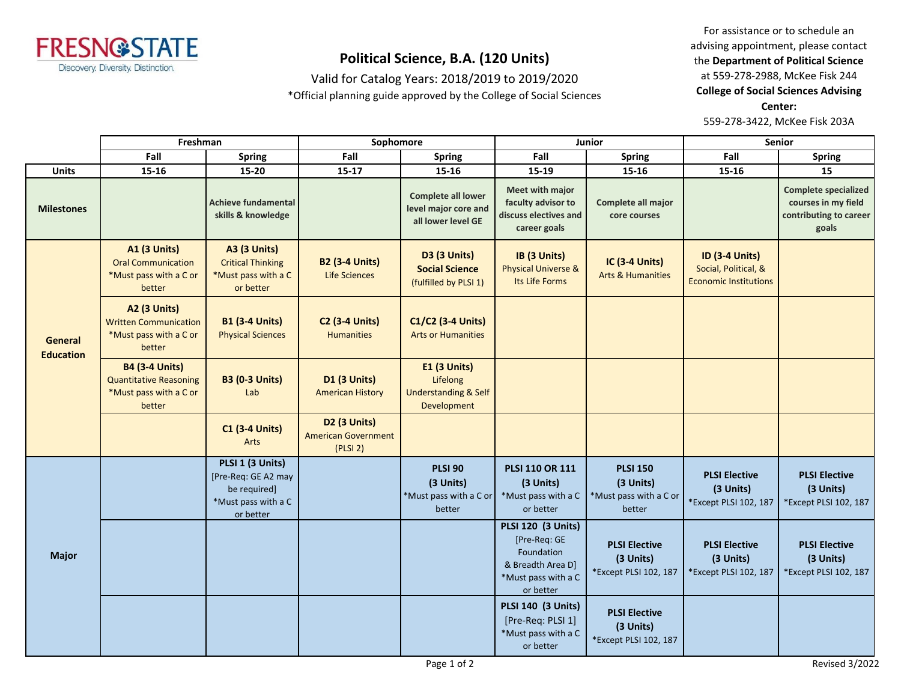

Valid for Catalog Years: 2018/2019 to 2019/2020

\*Official planning guide approved by the College of Social Sciences

For assistance or to schedule an advising appointment, please contact the **Department of Political Science** at 559-278-2988, McKee Fisk 244 **College of Social Sciences Advising Center:**  559-278-3422, McKee Fisk 203A

|                             | Freshman                                                                                   |                                                                                             | Sophomore                                                     |                                                                            | <b>Junior</b>                                                                                                    |                                                                  | <b>Senior</b>                                                                 |                                                                                       |
|-----------------------------|--------------------------------------------------------------------------------------------|---------------------------------------------------------------------------------------------|---------------------------------------------------------------|----------------------------------------------------------------------------|------------------------------------------------------------------------------------------------------------------|------------------------------------------------------------------|-------------------------------------------------------------------------------|---------------------------------------------------------------------------------------|
|                             | Fall                                                                                       | <b>Spring</b>                                                                               | Fall                                                          | <b>Spring</b>                                                              | Fall                                                                                                             | <b>Spring</b>                                                    | Fall                                                                          | <b>Spring</b>                                                                         |
| <b>Units</b>                | 15-16                                                                                      | 15-20                                                                                       | $15 - 17$                                                     | 15-16                                                                      | 15-19                                                                                                            | 15-16                                                            | 15-16                                                                         | 15                                                                                    |
| <b>Milestones</b>           |                                                                                            | <b>Achieve fundamental</b><br>skills & knowledge                                            |                                                               | <b>Complete all lower</b><br>level major core and<br>all lower level GE    | <b>Meet with major</b><br>faculty advisor to<br>discuss electives and<br>career goals                            | Complete all major<br>core courses                               |                                                                               | <b>Complete specialized</b><br>courses in my field<br>contributing to career<br>goals |
| General<br><b>Education</b> | A1 (3 Units)<br><b>Oral Communication</b><br>*Must pass with a C or<br>better              | <b>A3 (3 Units)</b><br><b>Critical Thinking</b><br>*Must pass with a C<br>or better         | <b>B2 (3-4 Units)</b><br>Life Sciences                        | <b>D3 (3 Units)</b><br><b>Social Science</b><br>(fulfilled by PLSI 1)      | IB (3 Units)<br><b>Physical Universe &amp;</b><br>Its Life Forms                                                 | <b>IC (3-4 Units)</b><br><b>Arts &amp; Humanities</b>            | <b>ID (3-4 Units)</b><br>Social, Political, &<br><b>Economic Institutions</b> |                                                                                       |
|                             | A2 (3 Units)<br><b>Written Communication</b><br>*Must pass with a C or<br>better           | <b>B1 (3-4 Units)</b><br><b>Physical Sciences</b>                                           | <b>C2 (3-4 Units)</b><br><b>Humanities</b>                    | C1/C2 (3-4 Units)<br><b>Arts or Humanities</b>                             |                                                                                                                  |                                                                  |                                                                               |                                                                                       |
|                             | <b>B4 (3-4 Units)</b><br><b>Quantitative Reasoning</b><br>*Must pass with a C or<br>better | <b>B3 (0-3 Units)</b><br>Lab                                                                | <b>D1 (3 Units)</b><br><b>American History</b>                | E1 (3 Units)<br>Lifelong<br><b>Understanding &amp; Self</b><br>Development |                                                                                                                  |                                                                  |                                                                               |                                                                                       |
|                             |                                                                                            | <b>C1 (3-4 Units)</b><br>Arts                                                               | <b>D2 (3 Units)</b><br><b>American Government</b><br>(PLSI 2) |                                                                            |                                                                                                                  |                                                                  |                                                                               |                                                                                       |
| <b>Major</b>                |                                                                                            | PLSI 1 (3 Units)<br>[Pre-Req: GE A2 may<br>be required]<br>*Must pass with a C<br>or better |                                                               | <b>PLSI 90</b><br>(3 Units)<br>*Must pass with a C or<br>better            | <b>PLSI 110 OR 111</b><br>(3 Units)<br>*Must pass with a C<br>or better                                          | <b>PLSI 150</b><br>(3 Units)<br>*Must pass with a C or<br>better | <b>PLSI Elective</b><br>(3 Units)<br>*Except PLSI 102, 187                    | <b>PLSI Elective</b><br>(3 Units)<br>*Except PLSI 102, 187                            |
|                             |                                                                                            |                                                                                             |                                                               |                                                                            | <b>PLSI 120 (3 Units)</b><br>[Pre-Req: GE<br>Foundation<br>& Breadth Area D]<br>*Must pass with a C<br>or better | <b>PLSI Elective</b><br>(3 Units)<br>*Except PLSI 102, 187       | <b>PLSI Elective</b><br>(3 Units)<br>*Except PLSI 102, 187                    | <b>PLSI Elective</b><br>(3 Units)<br>*Except PLSI 102, 187                            |
|                             |                                                                                            |                                                                                             |                                                               |                                                                            | <b>PLSI 140 (3 Units)</b><br>[Pre-Req: PLSI 1]<br>*Must pass with a C<br>or better                               | <b>PLSI Elective</b><br>(3 Units)<br>*Except PLSI 102, 187       |                                                                               |                                                                                       |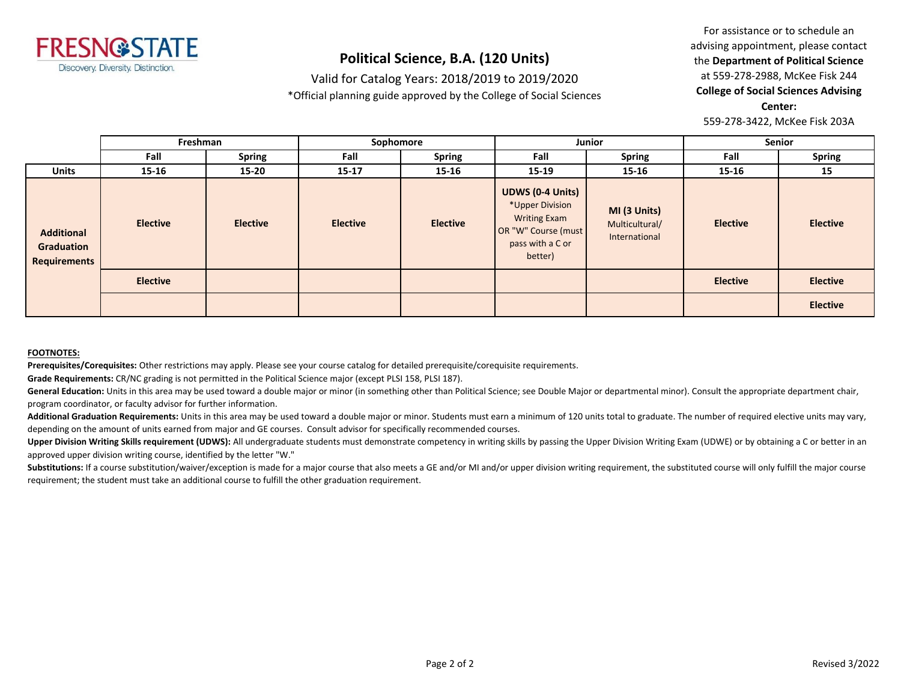

Valid for Catalog Years: 2018/2019 to 2019/2020

\*Official planning guide approved by the College of Social Sciences

For assistance or to schedule an advising appointment, please contact the **Department of Political Science** at 559-278-2988, McKee Fisk 244 **College of Social Sciences Advising Center:**  559-278-3422, McKee Fisk 203A

**Fall Spring Fall Spring Fall Spring Fall Spring Units 15-16 15-20 15-17 15-16 15-19 15-16 15-16 15 Freshman Sophomore Junior Senior Elective Elective Elective Elective UDWS (0-4 Units)** \*Upper Division Writing Exam OR "W" Course (must pass with a C or better) **MI (3 Units)** Multicultural/ International **Elective Elective Elective Elective Elective Elective Additional Graduation Requirements**

#### **FOOTNOTES:**

**Prerequisites/Corequisites:** Other restrictions may apply. Please see your course catalog for detailed prerequisite/corequisite requirements.

**Grade Requirements:** CR/NC grading is not permitted in the Political Science major (except PLSI 158, PLSI 187).

General Education: Units in this area may be used toward a double major or minor (in something other than Political Science; see Double Major or departmental minor). Consult the appropriate department chair, program coordinator, or faculty advisor for further information.

Additional Graduation Requirements: Units in this area may be used toward a double major or minor. Students must earn a minimum of 120 units total to graduate. The number of required elective units may vary, depending on the amount of units earned from major and GE courses. Consult advisor for specifically recommended courses.

Upper Division Writing Skills requirement (UDWS): All undergraduate students must demonstrate competency in writing skills by passing the Upper Division Writing Exam (UDWE) or by obtaining a C or better in an approved upper division writing course, identified by the letter "W."

Substitutions: If a course substitution/waiver/exception is made for a major course that also meets a GE and/or MI and/or upper division writing requirement, the substituted course will only fulfill the major course requirement; the student must take an additional course to fulfill the other graduation requirement.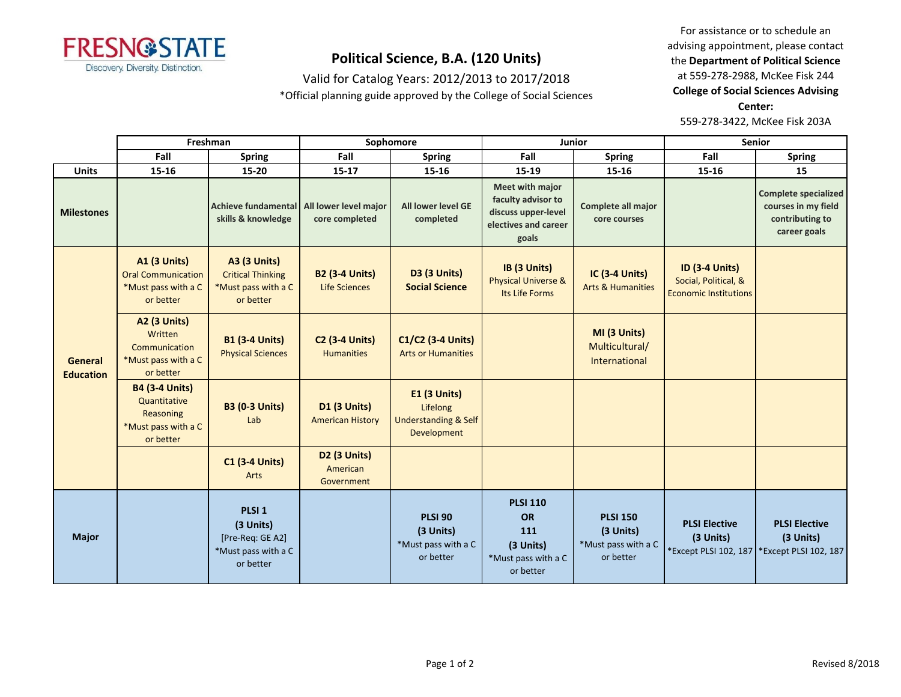

Valid for Catalog Years: 2012/2013 to 2017/2018

\*Official planning guide approved by the College of Social Sciences

For assistance or to schedule an advising appointment, please contact the **Department of Political Science** at 559-278-2988, McKee Fisk 244 **College of Social Sciences Advising Center:**  559-278-3422, McKee Fisk 203A

**Fall Spring Fall Spring Fall Spring Fall Spring Units 15-16 15-20 15-17 15-16 15-19 15-16 15-16 15 Milestones** *Achieve fundamental* **skills & knowledge All lower level major core completed All lower level GE completed Meet with major faculty advisor to discuss upper-level electives and career goals Complete all major core courses Complete specialized courses in my field contributing to career goals A1 (3 Units)** Oral Communication \*Must pass with a C or better **A3 (3 Units)** Critical Thinking \*Must pass with a C or better **B2 (3-4 Units)** Life Sciences **D3 (3 Units) Social Science IB (3 Units)** Physical Universe & Its Life Forms **IC (3-4 Units)** Arts & Humanities **ID (3-4 Units)** Social, Political, & Economic Institutions **A2 (3 Units) Written Communication** \*Must pass with a C or better **B1 (3-4 Units)** Physical Sciences **C2 (3-4 Units) Humanities C1/C2 (3-4 Units)** Arts or Humanities **MI (3 Units)** Multicultural/ International **B4 (3-4 Units) Quantitative** Reasoning \*Must pass with a C or better **B3 (0-3 Units)** Lab **D1 (3 Units)** American History **E1 (3 Units)** Lifelong Understanding & Self Development **C1 (3-4 Units)** Arts **D2 (3 Units)** American Government **Major PLSI 1 (3 Units)** [Pre-Req: GE A2] \*Must pass with a C or better **PLSI 90 (3 Units)** \*Must pass with a C or better **PLSI 110 OR 111 (3 Units)** \*Must pass with a C or better **PLSI 150 (3 Units)** \*Must pass with a C or better **PLSI Elective (3 Units)** \*Except PLSI 102, 187 **PLSI Elective (3 Units)** \*Except PLSI 102, 187 **General Education Freshman Sophomore Junior Senior**